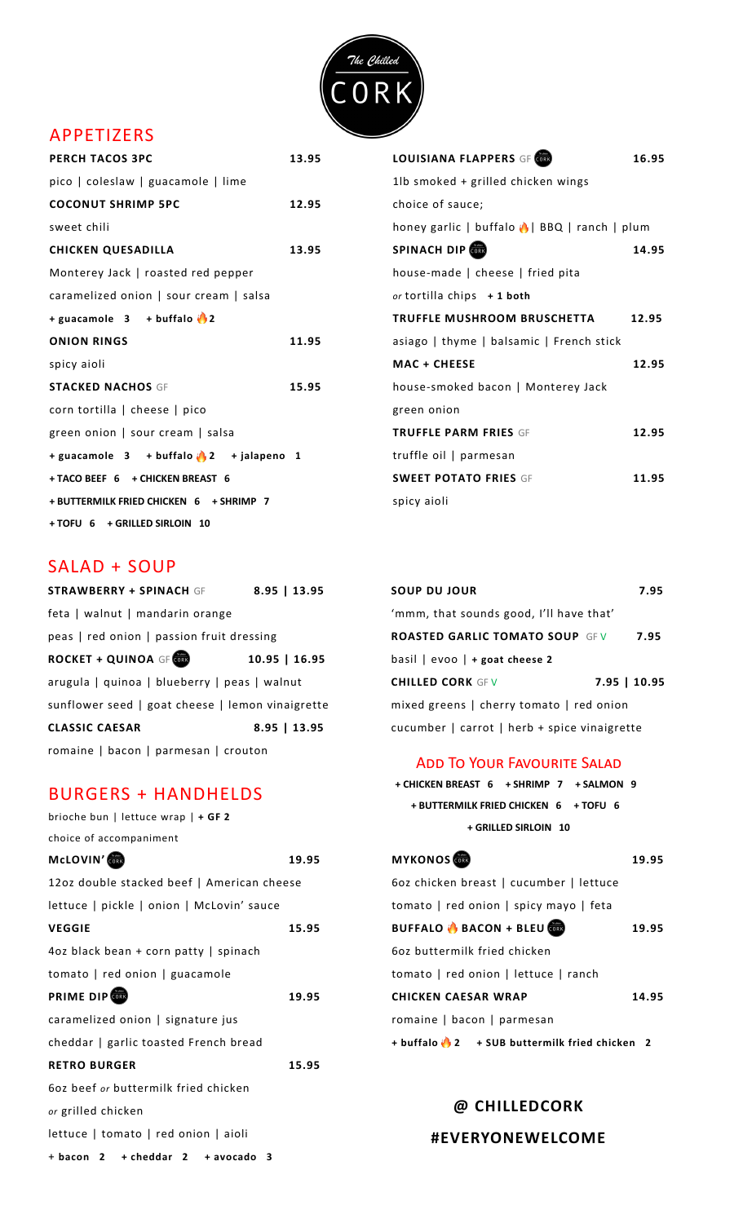

# APPETIZERS

| <b>PERCH TACOS 3PC</b>                          | 13.95 | <b>LOUISIANA FLAPPERS GF</b>                           | 16.95 |
|-------------------------------------------------|-------|--------------------------------------------------------|-------|
| pico   coleslaw   guacamole   lime              |       | 1lb smoked + grilled chicken wings                     |       |
| <b>COCONUT SHRIMP 5PC</b>                       | 12.95 | choice of sauce;                                       |       |
| sweet chili                                     |       | honey garlic   buffalo $\bigcirc$   BBQ   ranch   plum |       |
| <b>CHICKEN QUESADILLA</b>                       | 13.95 | SPINACH DIP                                            | 14.95 |
| Monterey Jack   roasted red pepper              |       | house-made   cheese   fried pita                       |       |
| caramelized onion   sour cream   salsa          |       | or tortilla chips $+1$ both                            |       |
| + guacamole $3 + \text{buffer}$ 2               |       | <b>TRUFFLE MUSHROOM BRUSCHETTA</b>                     | 12.95 |
| <b>ONION RINGS</b>                              | 11.95 | asiago   thyme   balsamic   French stick               |       |
| spicy aioli                                     |       | <b>MAC + CHEESE</b>                                    | 12.95 |
| <b>STACKED NACHOS GF</b>                        | 15.95 | house-smoked bacon   Monterey Jack                     |       |
| corn tortilla   cheese   pico                   |       | green onion                                            |       |
| green onion   sour cream   salsa                |       | <b>TRUFFLE PARM FRIES GF</b>                           | 12.95 |
| + guacamole $3 + \text{buffalo}$ 2 + jalapeno 1 |       | truffle oil   parmesan                                 |       |
| + TACO BEEF 6 + CHICKEN BREAST 6                |       | <b>SWEET POTATO FRIES GF</b>                           | 11.95 |
| + BUTTERMILK FRIED CHICKEN 6 + SHRIMP 7         |       | spicy aioli                                            |       |
| + TOFU 6 + GRILLED SIRLOIN 10                   |       |                                                        |       |

### SALAD + SOUP

| <b>STRAWBERRY + SPINACH GF</b>                   | $8.95$   13.95  | <b>SOUP DU JOUR</b>                          | 7.95         |
|--------------------------------------------------|-----------------|----------------------------------------------|--------------|
| feta   walnut   mandarin orange                  |                 | 'mmm, that sounds good, I'll have that'      |              |
| peas   red onion   passion fruit dressing        |                 | <b>ROASTED GARLIC TOMATO SOUP GFV</b>        | 7.95         |
| <b>ROCKET + QUINOA GF</b>                        | $10.95$   16.95 | basil $ $ evoo $ $ + goat cheese 2           |              |
| arugula   quinoa   blueberry   peas   walnut     |                 | <b>CHILLED CORK GFV</b>                      | 7.95   10.95 |
| sunflower seed   goat cheese   lemon vinaigrette |                 | mixed greens   cherry tomato   red onion     |              |
| <b>CLASSIC CAESAR</b>                            | $8.95$   13.95  | cucumber   carrot   herb + spice vinaigrette |              |
| romaine   bacon   parmesan   crouton             |                 |                                              |              |

### BURGERS + HANDHELDS

| brioche bun   lettuce wrap $  +$ GF 2      |       | + GRILLED SIRLOIN 10                                      |       |
|--------------------------------------------|-------|-----------------------------------------------------------|-------|
| choice of accompaniment                    |       |                                                           |       |
| McLOVIN'                                   | 19.95 | <b>MYKONOS</b>                                            | 19.95 |
| 12oz double stacked beef   American cheese |       | 6oz chicken breast   cucumber   lettuce                   |       |
| lettuce   pickle   onion   McLovin' sauce  |       | tomato   red onion   spicy mayo   feta                    |       |
| <b>VEGGIE</b>                              | 15.95 | <b>BUFFALO &amp; BACON + BLEU</b>                         | 19.95 |
| 4oz black bean + corn patty   spinach      |       | 602 buttermilk fried chicken                              |       |
| tomato   red onion   guacamole             |       | tomato   red onion   lettuce   ranch                      |       |
| <b>PRIME DIP</b>                           | 19.95 | <b>CHICKEN CAESAR WRAP</b>                                | 14.95 |
| caramelized onion   signature jus          |       | romaine   bacon   parmesan                                |       |
| cheddar   garlic toasted French bread      |       | + buffalo <sup>1</sup> 2 + SUB buttermilk fried chicken 2 |       |
| <b>RETRO BURGER</b>                        | 15.95 |                                                           |       |
| 602 beef or buttermilk fried chicken       |       |                                                           |       |
| or grilled chicken                         |       | @ CHILLEDCORK                                             |       |
| lettuce   tomato   red onion   aioli       |       | #EVERYONEWELCOME                                          |       |
| $+$ bacon 2 + cheddar 2 + avocado 3        |       |                                                           |       |

| <b>LOUISIANA FLAPPERS GF CORD</b>           | 16.95 |
|---------------------------------------------|-------|
| 1lb smoked + grilled chicken wings          |       |
| choice of sauce;                            |       |
| honey garlic   buffalo   BBQ   ranch   plum |       |
| SPINACH DIP                                 | 14.95 |
| house-made $ $ cheese $ $ fried pita        |       |
| or tortilla chips $+1$ both                 |       |
| TRUFFLE MUSHROOM BRUSCHETTA                 | 12.95 |
| asiago   thyme   balsamic   French stick    |       |
| <b>MAC + CHEESE</b>                         | 12.95 |
| house-smoked bacon   Monterey Jack          |       |
| green onion                                 |       |
| <b>TRUFFLE PARM FRIES GF</b>                | 12.95 |
| truffle oil   parmesan                      |       |
| <b>SWEET POTATO FRIES GF</b>                | 11.95 |
| spicy aioli                                 |       |
|                                             |       |

| <b>SOUP DU JOUR</b>                          | 7.95 |
|----------------------------------------------|------|
| 'mmm, that sounds good, I'll have that'      |      |
| <b>ROASTED GARLIC TOMATO SOUP GFV</b>        | 7.95 |
| basil $ $ evoo $ $ + goat cheese 2           |      |
| 7.95   10.95<br><b>CHILLED CORK GFV</b>      |      |
| mixed greens   cherry tomato   red onion     |      |
| cucumber   carrot   herb + spice vinaigrette |      |

#### **ADD TO YOUR FAVOURITE SALAD**

 **+ CHICKEN BREAST 6 + SHRIMP 7 + SALMON 9 + BUTTERMILK FRIED CHICKEN 6 + TOFU 6 + GRILLED SIRLOIN 10**

| <b>MYKONOS</b>                                          | 19.95 |
|---------------------------------------------------------|-------|
| 6oz chicken breast   cucumber   lettuce                 |       |
| tomato   red onion   spicy mayo   feta                  |       |
| <b>BUFFALO</b> BACON + BLEU                             | 19.95 |
| 6oz buttermilk fried chicken                            |       |
| tomato   red onion   lettuce   ranch                    |       |
| CHICKEN CAESAR WRAP                                     | 14.95 |
| romaine   bacon   parmesan                              |       |
| + buffalo $\bigcirc$ 2 + SUB buttermilk fried chicken 2 |       |

# **@ CHILLEDCORK**

#### **#EVERYONEWELCOME**